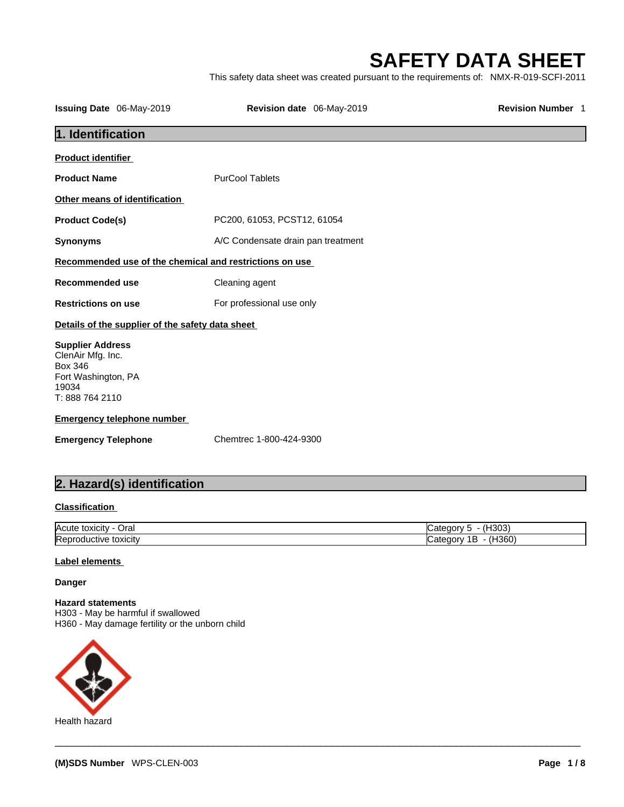# **SAFETY DATA SHEET**

|                                                         |                                                                                         | <b>SAFETY DATA SHEET</b> |
|---------------------------------------------------------|-----------------------------------------------------------------------------------------|--------------------------|
|                                                         | This safety data sheet was created pursuant to the requirements of: NMX-R-019-SCFI-2011 |                          |
| <b>Issuing Date</b> 06-May-2019                         | Revision date 06-May-2019                                                               | <b>Revision Number 1</b> |
| 1. Identification                                       |                                                                                         |                          |
| <b>Product identifier</b>                               |                                                                                         |                          |
| <b>Product Name</b>                                     | <b>PurCool Tablets</b>                                                                  |                          |
| Other means of identification                           |                                                                                         |                          |
| <b>Product Code(s)</b>                                  | PC200, 61053, PCST12, 61054                                                             |                          |
| <b>Synonyms</b>                                         | A/C Condensate drain pan treatment                                                      |                          |
| Recommended use of the chemical and restrictions on use |                                                                                         |                          |
| <b>Recommended use</b>                                  | Cleaning agent                                                                          |                          |
| <b>Restrictions on use</b>                              | For professional use only                                                               |                          |
| Details of the supplier of the safety data sheet        |                                                                                         |                          |
| <b>Supplier Address</b>                                 |                                                                                         |                          |
| ClenAir Mfg. Inc.<br><b>Box 346</b>                     |                                                                                         |                          |
| Fort Washington, PA<br>19034                            |                                                                                         |                          |
| T: 888 764 2110                                         |                                                                                         |                          |
| <b>Emergency telephone number</b>                       |                                                                                         |                          |
| <b>Emergency Telephone</b>                              | Chemtrec 1-800-424-9300                                                                 |                          |
| 2. Hazard(s) identification                             |                                                                                         |                          |
| <b>Classification</b>                                   |                                                                                         |                          |
| Acute toxicity - Oral                                   |                                                                                         | Category 5 - (H303)      |
|                                                         |                                                                                         |                          |

### **Classification**

| <b>Acute</b><br>Oral<br>-------<br>, OXICITY . | $. In \sim$<br>$\cdot$<br>ו ור. |
|------------------------------------------------|---------------------------------|
| toxicity<br>.tive.<br>lK en r<br>жu            | <br>H360<br><br>. .<br>-<br>٠   |

 $\_$  ,  $\_$  ,  $\_$  ,  $\_$  ,  $\_$  ,  $\_$  ,  $\_$  ,  $\_$  ,  $\_$  ,  $\_$  ,  $\_$  ,  $\_$  ,  $\_$  ,  $\_$  ,  $\_$  ,  $\_$  ,  $\_$  ,  $\_$  ,  $\_$  ,  $\_$  ,  $\_$  ,  $\_$  ,  $\_$  ,  $\_$  ,  $\_$  ,  $\_$  ,  $\_$  ,  $\_$  ,  $\_$  ,  $\_$  ,  $\_$  ,  $\_$  ,  $\_$  ,  $\_$  ,  $\_$  ,  $\_$  ,  $\_$  ,

#### **Label elements**

#### **Danger**

**Hazard statements**  H303 - May be harmful if swallowed H360 - May damage fertility or the unborn child

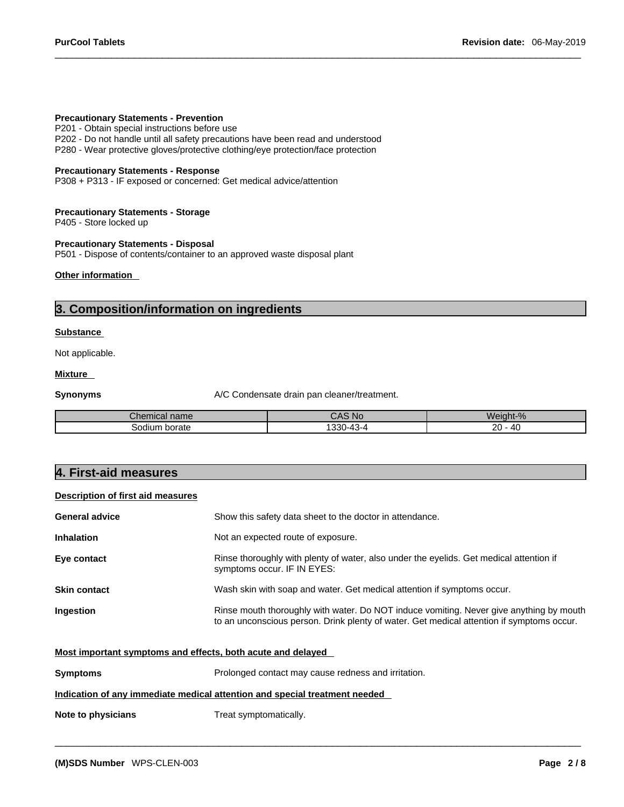#### **Precautionary Statements - Prevention**

P201 - Obtain special instructions before use

P202 - Do not handle until all safety precautions have been read and understood

P280 - Wear protective gloves/protective clothing/eye protection/face protection

#### **Precautionary Statements - Response**

P308 + P313 - IF exposed or concerned: Get medical advice/attention

#### **Precautionary Statements - Storage**

P405 - Store locked up

#### **Precautionary Statements - Disposal**

P501 - Dispose of contents/container to an approved waste disposal plant

#### **Other information**

### **3. Composition/information on ingredients**

#### **Substance**

Not applicable.

#### **Mixture**

**Synonyms** A/C Condensate drain pan cleaner/treatment.

| Chemical name      | CAS No                   | $\sim$<br>$\sim$<br>Weight-% |
|--------------------|--------------------------|------------------------------|
| ⊧ borate<br>sodium | 220<br>¬-<br>აას<br>- TU | oc<br>$^{\prime}$<br>້       |

### **4. First-aid measures**

### **Description of first aid measures**

| <b>General advice</b> | Show this safety data sheet to the doctor in attendance.                                                                                                                             |
|-----------------------|--------------------------------------------------------------------------------------------------------------------------------------------------------------------------------------|
| <b>Inhalation</b>     | Not an expected route of exposure.                                                                                                                                                   |
| Eye contact           | Rinse thoroughly with plenty of water, also under the eyelids. Get medical attention if<br>symptoms occur. IF IN EYES:                                                               |
| <b>Skin contact</b>   | Wash skin with soap and water. Get medical attention if symptoms occur.                                                                                                              |
| Ingestion             | Rinse mouth thoroughly with water. Do NOT induce vomiting. Never give anything by mouth<br>to an unconscious person. Drink plenty of water. Get medical attention if symptoms occur. |

 $\_$  ,  $\_$  ,  $\_$  ,  $\_$  ,  $\_$  ,  $\_$  ,  $\_$  ,  $\_$  ,  $\_$  ,  $\_$  ,  $\_$  ,  $\_$  ,  $\_$  ,  $\_$  ,  $\_$  ,  $\_$  ,  $\_$  ,  $\_$  ,  $\_$  ,  $\_$  ,  $\_$  ,  $\_$  ,  $\_$  ,  $\_$  ,  $\_$  ,  $\_$  ,  $\_$  ,  $\_$  ,  $\_$  ,  $\_$  ,  $\_$  ,  $\_$  ,  $\_$  ,  $\_$  ,  $\_$  ,  $\_$  ,  $\_$  ,

| Most important symptoms and effects, both acute and delayed |
|-------------------------------------------------------------|
|-------------------------------------------------------------|

| <b>Symptoms</b> | Prolonged contact may cause redness and irritation.                        |
|-----------------|----------------------------------------------------------------------------|
|                 | Indication of any immediate medical attention and special treatment needed |

**Note to physicians** Treat symptomatically.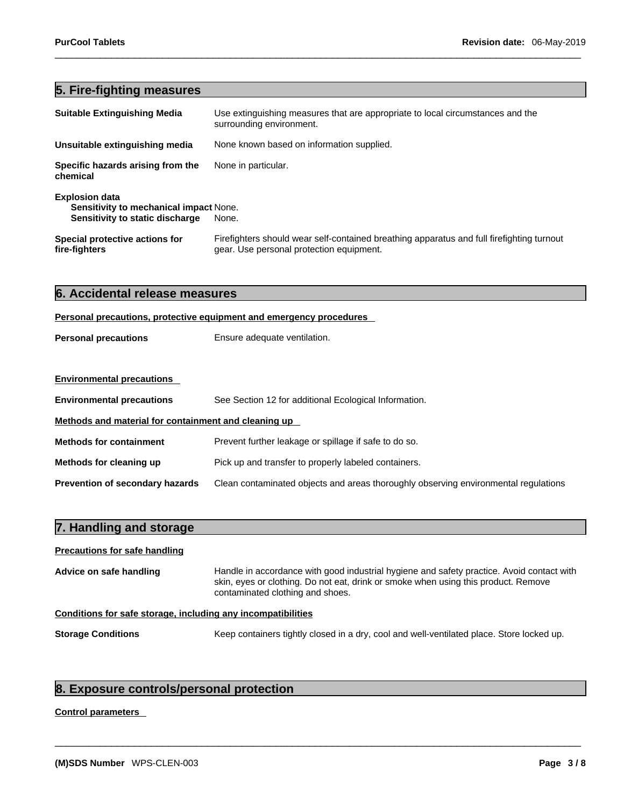## **5. Fire-fighting measures**

| <b>Suitable Extinguishing Media</b>                                                                | Use extinguishing measures that are appropriate to local circumstances and the<br>surrounding environment.                            |
|----------------------------------------------------------------------------------------------------|---------------------------------------------------------------------------------------------------------------------------------------|
| Unsuitable extinguishing media                                                                     | None known based on information supplied.                                                                                             |
| Specific hazards arising from the<br>chemical                                                      | None in particular.                                                                                                                   |
| <b>Explosion data</b><br>Sensitivity to mechanical impact None.<br>Sensitivity to static discharge | None.                                                                                                                                 |
| Special protective actions for<br>fire-fighters                                                    | Firefighters should wear self-contained breathing apparatus and full firefighting turnout<br>gear. Use personal protection equipment. |

| 6. Accidental release measures<br>Personal precautions, protective equipment and emergency procedures |                                                       |  |  |
|-------------------------------------------------------------------------------------------------------|-------------------------------------------------------|--|--|
|                                                                                                       |                                                       |  |  |
|                                                                                                       |                                                       |  |  |
| <b>Environmental precautions</b>                                                                      |                                                       |  |  |
| <b>Environmental precautions</b>                                                                      | See Section 12 for additional Ecological Information. |  |  |
| Methods and material for containment and cleaning up                                                  |                                                       |  |  |
| <b>Methods for containment</b>                                                                        | Prevent further leakage or spillage if safe to do so. |  |  |
| Methods for cleaning up<br>Pick up and transfer to properly labeled containers.                       |                                                       |  |  |

| 7. Handling and storage                                      |                                                                                                                                                                                                                     |
|--------------------------------------------------------------|---------------------------------------------------------------------------------------------------------------------------------------------------------------------------------------------------------------------|
| <b>Precautions for safe handling</b>                         |                                                                                                                                                                                                                     |
| Advice on safe handling                                      | Handle in accordance with good industrial hygiene and safety practice. Avoid contact with<br>skin, eyes or clothing. Do not eat, drink or smoke when using this product. Remove<br>contaminated clothing and shoes. |
| Conditions for safe storage, including any incompatibilities |                                                                                                                                                                                                                     |

**Prevention of secondary hazards** Clean contaminated objects and areas thoroughly observing environmental regulations

**Storage Conditions** Keep containers tightly closed in a dry, cool and well-ventilated place. Store locked up.

 $\_$  ,  $\_$  ,  $\_$  ,  $\_$  ,  $\_$  ,  $\_$  ,  $\_$  ,  $\_$  ,  $\_$  ,  $\_$  ,  $\_$  ,  $\_$  ,  $\_$  ,  $\_$  ,  $\_$  ,  $\_$  ,  $\_$  ,  $\_$  ,  $\_$  ,  $\_$  ,  $\_$  ,  $\_$  ,  $\_$  ,  $\_$  ,  $\_$  ,  $\_$  ,  $\_$  ,  $\_$  ,  $\_$  ,  $\_$  ,  $\_$  ,  $\_$  ,  $\_$  ,  $\_$  ,  $\_$  ,  $\_$  ,  $\_$  ,

## **8. Exposure controls/personal protection**

### **Control parameters**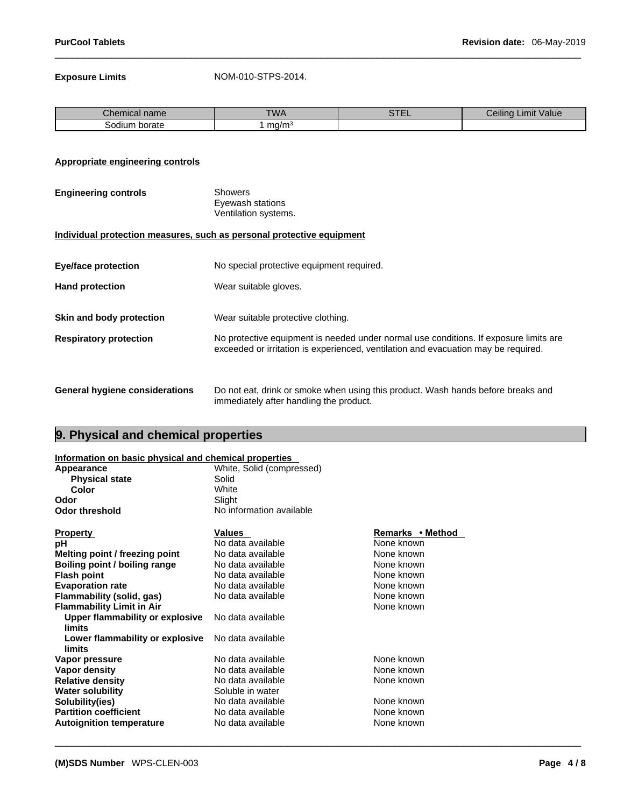**Exposure Limits** NOM-010-STPS-2014.

| -<br>Chemical name | <b>TWA</b> | $\sim$ $\sim$ $\sim$<br>. | <br>Value<br>Limit<br>Ceilina |
|--------------------|------------|---------------------------|-------------------------------|
| borate<br>30dium   | ma/m       |                           |                               |

#### **Appropriate engineering controls**

| <b>Engineering controls</b> | Showers              |  |
|-----------------------------|----------------------|--|
|                             | Eyewash stations     |  |
|                             | Ventilation systems. |  |

#### **Individual protection measures, such as personal protective equipment**

| <b>Eye/face protection</b>            | No special protective equipment required.                                                                                                                                   |  |
|---------------------------------------|-----------------------------------------------------------------------------------------------------------------------------------------------------------------------------|--|
| <b>Hand protection</b>                | Wear suitable gloves.                                                                                                                                                       |  |
| Skin and body protection              | Wear suitable protective clothing.                                                                                                                                          |  |
| <b>Respiratory protection</b>         | No protective equipment is needed under normal use conditions. If exposure limits are<br>exceeded or irritation is experienced, ventilation and evacuation may be required. |  |
| <b>General hygiene considerations</b> | Do not eat, drink or smoke when using this product. Wash hands before breaks and                                                                                            |  |

immediately after handling the product.

 $\_$  ,  $\_$  ,  $\_$  ,  $\_$  ,  $\_$  ,  $\_$  ,  $\_$  ,  $\_$  ,  $\_$  ,  $\_$  ,  $\_$  ,  $\_$  ,  $\_$  ,  $\_$  ,  $\_$  ,  $\_$  ,  $\_$  ,  $\_$  ,  $\_$  ,  $\_$  ,  $\_$  ,  $\_$  ,  $\_$  ,  $\_$  ,  $\_$  ,  $\_$  ,  $\_$  ,  $\_$  ,  $\_$  ,  $\_$  ,  $\_$  ,  $\_$  ,  $\_$  ,  $\_$  ,  $\_$  ,  $\_$  ,  $\_$  ,

## **9. Physical and chemical properties**

## **Information on basic physical and chemical properties**

| information on basic physical and chemical properties |                           |                  |
|-------------------------------------------------------|---------------------------|------------------|
| Appearance                                            | White, Solid (compressed) |                  |
| <b>Physical state</b>                                 | Solid                     |                  |
| Color                                                 | White                     |                  |
| Odor                                                  | Slight                    |                  |
| <b>Odor threshold</b>                                 | No information available  |                  |
| <b>Property</b>                                       | <b>Values</b>             | Remarks • Method |
| рH                                                    | No data available         | None known       |
| Melting point / freezing point                        | No data available         | None known       |
| Boiling point / boiling range                         | No data available         | None known       |
| <b>Flash point</b>                                    | No data available         | None known       |
| <b>Evaporation rate</b>                               | No data available         | None known       |
| Flammability (solid, gas)                             | No data available         | None known       |
| <b>Flammability Limit in Air</b>                      |                           | None known       |
| Upper flammability or explosive<br>limits             | No data available         |                  |
| Lower flammability or explosive<br>limits             | No data available         |                  |
| Vapor pressure                                        | No data available         | None known       |
| Vapor density                                         | No data available         | None known       |
| <b>Relative density</b>                               | No data available         | None known       |
| <b>Water solubility</b>                               | Soluble in water          |                  |
| Solubility(ies)                                       | No data available         | None known       |
| <b>Partition coefficient</b>                          | No data available         | None known       |
| <b>Autoignition temperature</b>                       | No data available         | None known       |
|                                                       |                           |                  |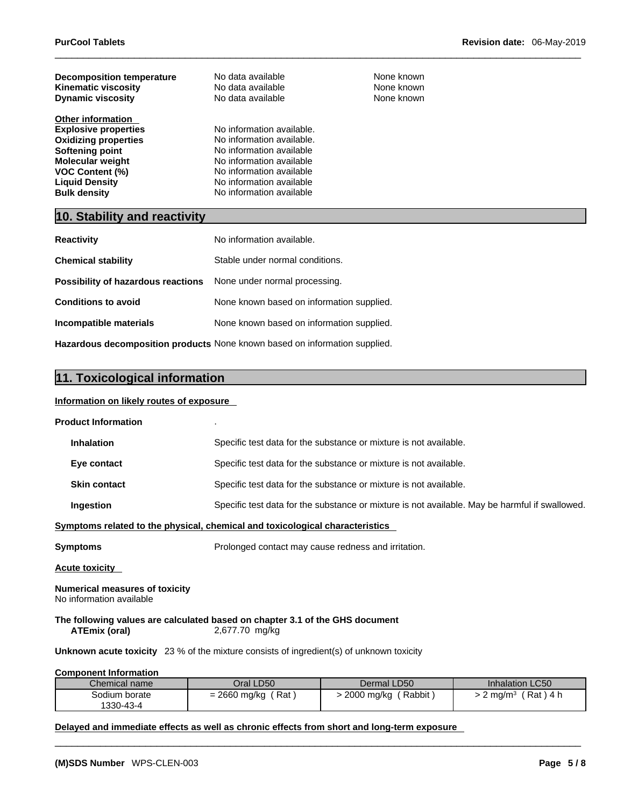| <b>Decomposition temperature</b> | No data available         | None known |
|----------------------------------|---------------------------|------------|
| <b>Kinematic viscosity</b>       | No data available         | None known |
| <b>Dynamic viscosity</b>         | No data available         | None known |
|                                  |                           |            |
| <b>Other information</b>         |                           |            |
| <b>Explosive properties</b>      | No information available. |            |
| <b>Oxidizing properties</b>      | No information available. |            |
| Softening point                  | No information available  |            |
| <b>Molecular weight</b>          | No information available  |            |
| <b>VOC Content (%)</b>           | No information available  |            |
| <b>Liquid Density</b>            | No information available  |            |
| <b>Bulk density</b>              | No information available  |            |

## **10. Stability and reactivity**

| <b>Reactivity</b>                  | No information available.                                                         |
|------------------------------------|-----------------------------------------------------------------------------------|
| <b>Chemical stability</b>          | Stable under normal conditions.                                                   |
| Possibility of hazardous reactions | None under normal processing.                                                     |
| <b>Conditions to avoid</b>         | None known based on information supplied.                                         |
| Incompatible materials             | None known based on information supplied.                                         |
|                                    | <b>Hazardous decomposition products</b> None known based on information supplied. |

## **11. Toxicological information**

#### **Information on likely routes of exposure**

| <b>Product Information</b>                                 |                                                                                                 |                                                                   |                                                                                                |
|------------------------------------------------------------|-------------------------------------------------------------------------------------------------|-------------------------------------------------------------------|------------------------------------------------------------------------------------------------|
| <b>Inhalation</b>                                          |                                                                                                 | Specific test data for the substance or mixture is not available. |                                                                                                |
| Eye contact                                                |                                                                                                 | Specific test data for the substance or mixture is not available. |                                                                                                |
| <b>Skin contact</b>                                        |                                                                                                 | Specific test data for the substance or mixture is not available. |                                                                                                |
| Ingestion                                                  |                                                                                                 |                                                                   | Specific test data for the substance or mixture is not available. May be harmful if swallowed. |
|                                                            | Symptoms related to the physical, chemical and toxicological characteristics                    |                                                                   |                                                                                                |
| Symptoms                                                   | Prolonged contact may cause redness and irritation.                                             |                                                                   |                                                                                                |
| Acute toxicity                                             |                                                                                                 |                                                                   |                                                                                                |
| Numerical measures of toxicity<br>No information available |                                                                                                 |                                                                   |                                                                                                |
| <b>ATEmix (oral)</b>                                       | The following values are calculated based on chapter 3.1 of the GHS document<br>2,677.70 mg/kg  |                                                                   |                                                                                                |
|                                                            | <b>Unknown acute toxicity</b> 23 % of the mixture consists of ingredient(s) of unknown toxicity |                                                                   |                                                                                                |
| <b>Component Information</b>                               |                                                                                                 |                                                                   |                                                                                                |
| Chemical name                                              | Oral LD50                                                                                       | Dermal LD50                                                       | Inhalation LC50                                                                                |
| Sodium borate                                              | $= 2660$ mg/kg (Rat)                                                                            | > 2000 mg/kg (Rabbit)                                             | $> 2$ mg/m <sup>3</sup> (Rat) 4 h                                                              |

 $\_$  ,  $\_$  ,  $\_$  ,  $\_$  ,  $\_$  ,  $\_$  ,  $\_$  ,  $\_$  ,  $\_$  ,  $\_$  ,  $\_$  ,  $\_$  ,  $\_$  ,  $\_$  ,  $\_$  ,  $\_$  ,  $\_$  ,  $\_$  ,  $\_$  ,  $\_$  ,  $\_$  ,  $\_$  ,  $\_$  ,  $\_$  ,  $\_$  ,  $\_$  ,  $\_$  ,  $\_$  ,  $\_$  ,  $\_$  ,  $\_$  ,  $\_$  ,  $\_$  ,  $\_$  ,  $\_$  ,  $\_$  ,  $\_$  ,

#### **Delayed and immediate effects as well as chronic effects from short and long-term exposure**

1330-43-4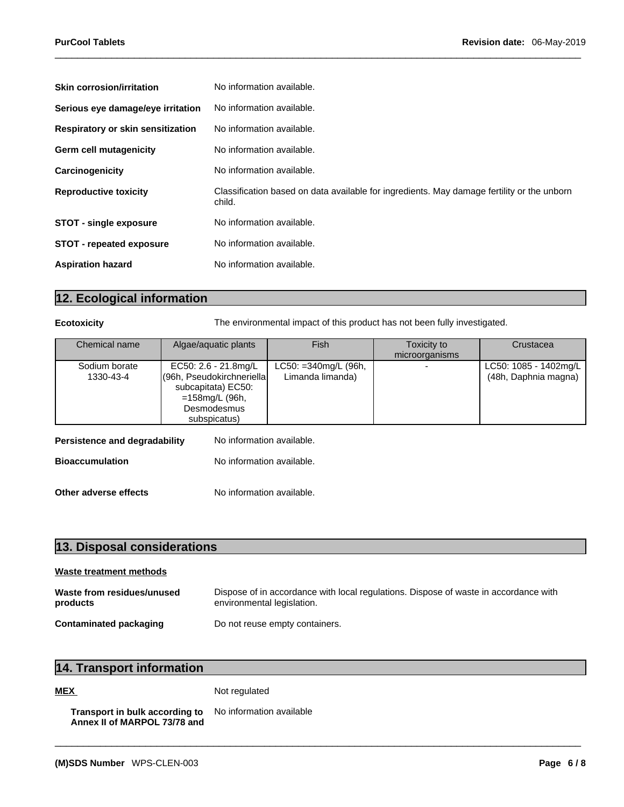| <b>Skin corrosion/irritation</b>  | No information available.                                                                            |
|-----------------------------------|------------------------------------------------------------------------------------------------------|
| Serious eye damage/eye irritation | No information available.                                                                            |
| Respiratory or skin sensitization | No information available.                                                                            |
| Germ cell mutagenicity            | No information available.                                                                            |
| Carcinogenicity                   | No information available.                                                                            |
| <b>Reproductive toxicity</b>      | Classification based on data available for ingredients. May damage fertility or the unborn<br>child. |
| <b>STOT - single exposure</b>     | No information available.                                                                            |
| <b>STOT - repeated exposure</b>   | No information available.                                                                            |
| <b>Aspiration hazard</b>          | No information available.                                                                            |
|                                   |                                                                                                      |

## **12. Ecological information**

**Ecotoxicity The environmental impact of this product has not been fully investigated.** 

| Chemical name              | Algae/aquatic plants                                                                                                      | <b>Fish</b>                                  | Toxicity to<br>microorganisms | Crustacea                                     |
|----------------------------|---------------------------------------------------------------------------------------------------------------------------|----------------------------------------------|-------------------------------|-----------------------------------------------|
| Sodium borate<br>1330-43-4 | EC50: 2.6 - 21.8mg/L<br>(96h, Pseudokirchneriella)<br>subcapitata) EC50:<br>=158mg/L (96h,<br>Desmodesmus<br>subspicatus) | $LC50: = 340$ mg/L (96h,<br>Limanda limanda) |                               | LC50: 1085 - 1402mg/L<br>(48h, Daphnia magna) |

| Persistence and degradability | No information available. |
|-------------------------------|---------------------------|
| <b>Bioaccumulation</b>        | No information available. |
| Other adverse effects         | No information available. |

| 13. Disposal considerations |  |
|-----------------------------|--|
|                             |  |

| Waste treatment methods                |                                                                                                                    |
|----------------------------------------|--------------------------------------------------------------------------------------------------------------------|
| Waste from residues/unused<br>products | Dispose of in accordance with local regulations. Dispose of waste in accordance with<br>environmental legislation. |
| Contaminated packaging                 | Do not reuse empty containers.                                                                                     |

 $\_$  ,  $\_$  ,  $\_$  ,  $\_$  ,  $\_$  ,  $\_$  ,  $\_$  ,  $\_$  ,  $\_$  ,  $\_$  ,  $\_$  ,  $\_$  ,  $\_$  ,  $\_$  ,  $\_$  ,  $\_$  ,  $\_$  ,  $\_$  ,  $\_$  ,  $\_$  ,  $\_$  ,  $\_$  ,  $\_$  ,  $\_$  ,  $\_$  ,  $\_$  ,  $\_$  ,  $\_$  ,  $\_$  ,  $\_$  ,  $\_$  ,  $\_$  ,  $\_$  ,  $\_$  ,  $\_$  ,  $\_$  ,  $\_$  ,

## **14. Transport information**

**MEX** Not regulated

```
Transport in bulk according to
Annex II of MARPOL 73/78 and
                                No information available
```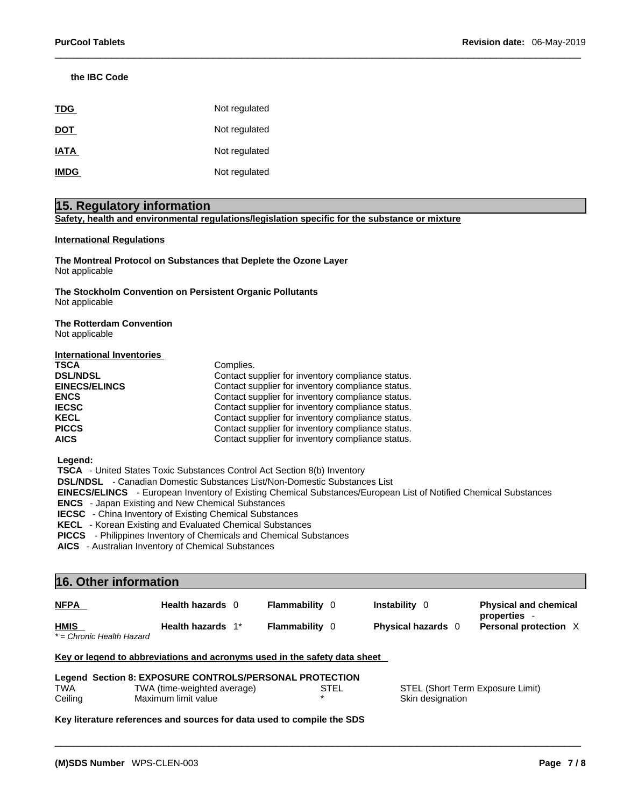#### **the IBC Code**

| <b>TDG</b>  | Not regulated |
|-------------|---------------|
| <b>DOT</b>  | Not regulated |
| <b>IATA</b> | Not regulated |
| <b>IMDG</b> | Not regulated |

### **15. Regulatory information**

**Safety, health and environmental regulations/legislation specific for the substance or mixture**

#### **International Regulations**

**The Montreal Protocol on Substances that Deplete the Ozone Layer** Not applicable

**The Stockholm Convention on Persistent Organic Pollutants** Not applicable

#### **The Rotterdam Convention** Not applicable

| International Inventories |                                                   |
|---------------------------|---------------------------------------------------|
| <b>TSCA</b>               | Complies.                                         |
| <b>DSL/NDSL</b>           | Contact supplier for inventory compliance status. |
| <b>EINECS/ELINCS</b>      | Contact supplier for inventory compliance status. |
| <b>ENCS</b>               | Contact supplier for inventory compliance status. |
| <b>IECSC</b>              | Contact supplier for inventory compliance status. |
| <b>KECL</b>               | Contact supplier for inventory compliance status. |
| <b>PICCS</b>              | Contact supplier for inventory compliance status. |
| <b>AICS</b>               | Contact supplier for inventory compliance status. |

 **Legend:** 

 **TSCA** - United States Toxic Substances Control Act Section 8(b) Inventory

 **DSL/NDSL** - Canadian Domestic Substances List/Non-Domestic Substances List

 **EINECS/ELINCS** - European Inventory of Existing Chemical Substances/European List of Notified Chemical Substances

 **ENCS** - Japan Existing and New Chemical Substances

 **IECSC** - China Inventory of Existing Chemical Substances

 **KECL** - Korean Existing and Evaluated Chemical Substances

 **PICCS** - Philippines Inventory of Chemicals and Chemical Substances

 **AICS** - Australian Inventory of Chemical Substances

| 16. Other information                    |                                                                           |                       |                           |                                            |
|------------------------------------------|---------------------------------------------------------------------------|-----------------------|---------------------------|--------------------------------------------|
| <b>NFPA</b>                              | Health hazards 0                                                          | <b>Flammability</b> 0 | <b>Instability</b> 0      | <b>Physical and chemical</b><br>properties |
| <b>HMIS</b><br>* = Chronic Health Hazard | Health hazards 1*                                                         | <b>Flammability</b> 0 | <b>Physical hazards</b> 0 | Personal protection X                      |
|                                          | Key or legend to abbreviations and acronyms used in the safety data sheet |                       |                           |                                            |
|                                          | Legend Section 8: EXPOSURE CONTROLS/PERSONAL PROTECTION                   |                       |                           |                                            |
| <b>TWA</b>                               | TWA (time-weighted average)                                               | STEL                  |                           | STEL (Short Term Exposure Limit)           |
| Ceiling                                  | Maximum limit value                                                       |                       | Skin designation          |                                            |

 $\_$  ,  $\_$  ,  $\_$  ,  $\_$  ,  $\_$  ,  $\_$  ,  $\_$  ,  $\_$  ,  $\_$  ,  $\_$  ,  $\_$  ,  $\_$  ,  $\_$  ,  $\_$  ,  $\_$  ,  $\_$  ,  $\_$  ,  $\_$  ,  $\_$  ,  $\_$  ,  $\_$  ,  $\_$  ,  $\_$  ,  $\_$  ,  $\_$  ,  $\_$  ,  $\_$  ,  $\_$  ,  $\_$  ,  $\_$  ,  $\_$  ,  $\_$  ,  $\_$  ,  $\_$  ,  $\_$  ,  $\_$  ,  $\_$  ,

**Key literature references and sources for data used to compile the SDS**